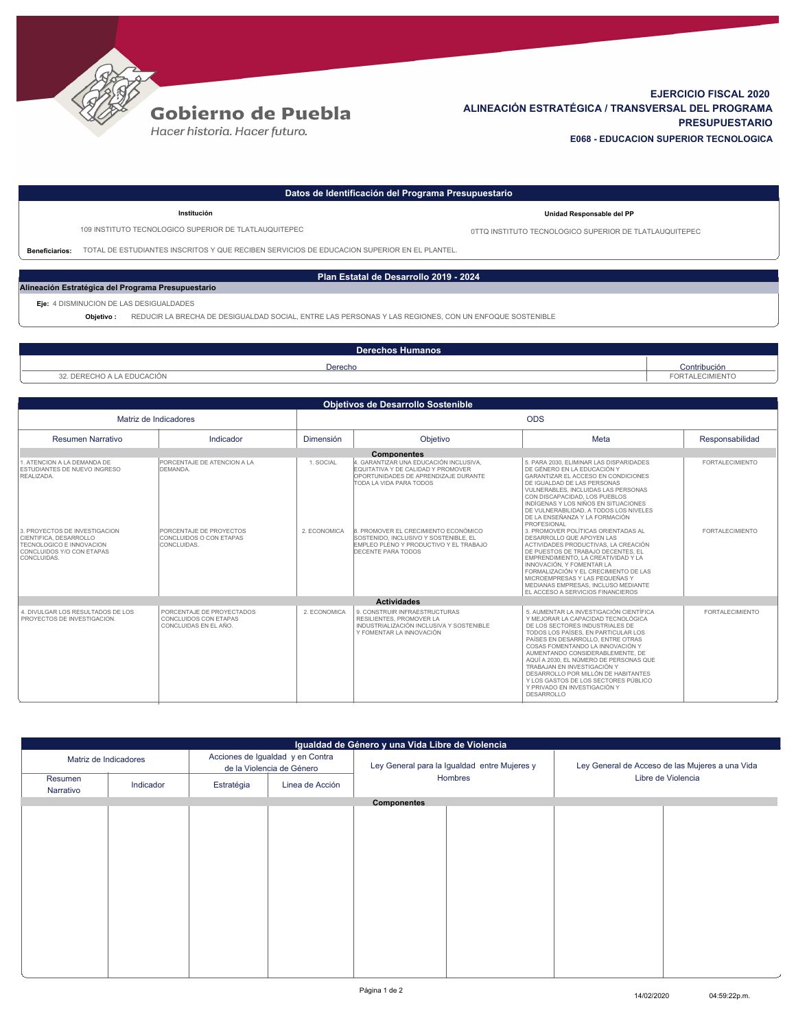

## **Gobierno de Puebla**

Hacer historia. Hacer futuro.

## **EJERCICIO FISCAL 2020 ALINEACIÓN ESTRATÉGICA / TRANSVERSAL DEL PROGRAMA PRESUPUESTARIO E068 - EDUCACION SUPERIOR TECNOLOGICA**

| Datos de Identificación del Programa Presupuestario |                                                                                                                     |                                                        |  |  |  |  |  |
|-----------------------------------------------------|---------------------------------------------------------------------------------------------------------------------|--------------------------------------------------------|--|--|--|--|--|
|                                                     | Institución                                                                                                         | Unidad Responsable del PP                              |  |  |  |  |  |
|                                                     | 109 INSTITUTO TECNOLOGICO SUPERIOR DE TLATLAUQUITEPEC                                                               | 0TTQ INSTITUTO TECNOLOGICO SUPERIOR DE TLATLAUQUITEPEC |  |  |  |  |  |
| <b>Beneficiarios:</b>                               | TOTAL DE ESTUDIANTES INSCRITOS Y QUE RECIBEN SERVICIOS DE EDUCACION SUPERIOR EN EL PLANTEL.                         |                                                        |  |  |  |  |  |
|                                                     |                                                                                                                     |                                                        |  |  |  |  |  |
| Plan Estatal de Desarrollo 2019 - 2024              |                                                                                                                     |                                                        |  |  |  |  |  |
| Alineación Estratégica del Programa Presupuestario  |                                                                                                                     |                                                        |  |  |  |  |  |
| Eje: 4 DISMINUCION DE LAS DESIGUALDADES             |                                                                                                                     |                                                        |  |  |  |  |  |
|                                                     | REDUCIR LA BRECHA DE DESIGUALDAD SOCIAL, ENTRE LAS PERSONAS Y LAS REGIONES, CON UN ENFOQUE SOSTENIBLE<br>Objetivo : |                                                        |  |  |  |  |  |
|                                                     |                                                                                                                     |                                                        |  |  |  |  |  |
| <b>Derechos Humanos</b>                             |                                                                                                                     |                                                        |  |  |  |  |  |
|                                                     |                                                                                                                     |                                                        |  |  |  |  |  |

| Derecho                                                | Contribución  |
|--------------------------------------------------------|---------------|
| $\sim$ $\sim$ $\sim$ $\sim$ $\sim$ $\sim$<br>educacion | <b>MIENTO</b> |
|                                                        |               |

| <b>Objetivos de Desarrollo Sostenible</b>                                                                                       |                                                                             |              |                                                                                                                                                      |                                                                                                                                                                                                                                                                                                                                                                                                                                                                                   |                        |  |  |  |
|---------------------------------------------------------------------------------------------------------------------------------|-----------------------------------------------------------------------------|--------------|------------------------------------------------------------------------------------------------------------------------------------------------------|-----------------------------------------------------------------------------------------------------------------------------------------------------------------------------------------------------------------------------------------------------------------------------------------------------------------------------------------------------------------------------------------------------------------------------------------------------------------------------------|------------------------|--|--|--|
| Matriz de Indicadores                                                                                                           |                                                                             | <b>ODS</b>   |                                                                                                                                                      |                                                                                                                                                                                                                                                                                                                                                                                                                                                                                   |                        |  |  |  |
| <b>Resumen Narrativo</b>                                                                                                        | Indicador                                                                   | Dimensión    | Objetivo                                                                                                                                             | Meta                                                                                                                                                                                                                                                                                                                                                                                                                                                                              | Responsabilidad        |  |  |  |
|                                                                                                                                 |                                                                             |              | <b>Componentes</b>                                                                                                                                   |                                                                                                                                                                                                                                                                                                                                                                                                                                                                                   |                        |  |  |  |
| 1. ATENCION A LA DEMANDA DE<br><b>ESTUDIANTES DE NUEVO INGRESO</b><br>REALIZADA.                                                | PORCENTAJE DE ATENCION A LA<br>DEMANDA.                                     | 1. SOCIAL    | 4. GARANTIZAR UNA EDUCACIÓN INCLUSIVA.<br>EQUITATIVA Y DE CALIDAD Y PROMOVER<br>OPORTUNIDADES DE APRENDIZAJE DURANTE<br>TODA LA VIDA PARA TODOS      | 5. PARA 2030. ELIMINAR LAS DISPARIDADES<br>DE GÉNERO EN LA EDUCACIÓN Y<br>GARANTIZAR EL ACCESO EN CONDICIONES<br>DE IGUALDAD DE LAS PERSONAS<br>VULNERABLES. INCLUIDAS LAS PERSONAS<br>CON DISCAPACIDAD. LOS PUEBLOS<br>INDÍGENAS Y LOS NIÑOS EN SITUACIONES<br>DE VULNERABILIDAD. A TODOS LOS NIVELES<br>DE LA ENSEÑANZA Y LA FORMACIÓN<br>PROFESIONAL                                                                                                                           | <b>FORTALECIMIENTO</b> |  |  |  |
| 3. PROYECTOS DE INVESTIGACION<br>CIENTIFICA, DESARROLLO<br>TECNOLOGICO E INNOVACION<br>CONCLUIDOS Y/O CON ETAPAS<br>CONCLUIDAS. | PORCENTAJE DE PROYECTOS<br>CONCLUIDOS O CON ETAPAS<br>CONCLUIDAS.           | 2. ECONOMICA | 8. PROMOVER EL CRECIMIENTO ECONÓMICO<br>SOSTENIDO. INCLUSIVO Y SOSTENIBLE. EL<br>EMPLEO PLENO Y PRODUCTIVO Y EL TRABAJO<br><b>DECENTE PARA TODOS</b> | 3. PROMOVER POLÍTICAS ORIENTADAS AL<br>DESARROLLO QUE APOYEN LAS<br>ACTIVIDADES PRODUCTIVAS. LA CREACIÓN<br>DE PUESTOS DE TRABAJO DECENTES. EL<br>EMPRENDIMIENTO. LA CREATIVIDAD Y LA<br>INNOVACIÓN, Y FOMENTAR LA<br>FORMALIZACIÓN Y EL CRECIMIENTO DE LAS<br>MICROEMPRESAS Y LAS PEQUEÑAS Y<br>MEDIANAS EMPRESAS. INCLUSO MEDIANTE<br>EL ACCESO A SERVICIOS FINANCIEROS                                                                                                         | <b>FORTALECIMIENTO</b> |  |  |  |
| <b>Actividades</b>                                                                                                              |                                                                             |              |                                                                                                                                                      |                                                                                                                                                                                                                                                                                                                                                                                                                                                                                   |                        |  |  |  |
| 4. DIVULGAR LOS RESULTADOS DE LOS<br>PROYECTOS DE INVESTIGACION.                                                                | PORCENTAJE DE PROYECTADOS<br>CONCLUIDOS CON ETAPAS<br>CONCLUIDAS EN EL AÑO. | 2. ECONOMICA | 9. CONSTRUIR INFRAFSTRUCTURAS<br>RESILIENTES, PROMOVER LA<br>INDUSTRIALIZACIÓN INCLUSIVA Y SOSTENIBLE<br>Y FOMENTAR LA INNOVACIÓN                    | 5. AUMENTAR LA INVESTIGACIÓN CIENTÍFICA<br>Y MEJORAR LA CAPACIDAD TECNOLÓGICA<br>DE LOS SECTORES INDUSTRIALES DE<br>TODOS LOS PAÍSES. EN PARTICULAR LOS<br>PAÍSES EN DESARROLLO. ENTRE OTRAS<br>COSAS FOMENTANDO LA INNOVACIÓN Y<br>AUMENTANDO CONSIDERABLEMENTE. DE<br>AQUÍ A 2030. EL NÚMERO DE PERSONAS QUE<br>TRABAJAN EN INVESTIGACIÓN Y<br>DESARROLLO POR MILLÓN DE HABITANTES<br>Y LOS GASTOS DE LOS SECTORES PÚBLICO<br>Y PRIVADO EN INVESTIGACIÓN Y<br><b>DESARROLLO</b> | <b>FORTALECIMIENTO</b> |  |  |  |

| Igualdad de Género y una Vida Libre de Violencia |           |                                                               |                 |                                              |  |                                                 |  |  |  |
|--------------------------------------------------|-----------|---------------------------------------------------------------|-----------------|----------------------------------------------|--|-------------------------------------------------|--|--|--|
| Matriz de Indicadores                            |           | Acciones de Igualdad y en Contra<br>de la Violencia de Género |                 | Ley General para la Igualdad entre Mujeres y |  | Ley General de Acceso de las Mujeres a una Vida |  |  |  |
| Resumen<br>Narrativo                             | Indicador | Estratégia                                                    | Linea de Acción | Hombres                                      |  | Libre de Violencia                              |  |  |  |
| <b>Componentes</b>                               |           |                                                               |                 |                                              |  |                                                 |  |  |  |
|                                                  |           |                                                               |                 |                                              |  |                                                 |  |  |  |
|                                                  |           |                                                               |                 |                                              |  |                                                 |  |  |  |
|                                                  |           |                                                               |                 |                                              |  |                                                 |  |  |  |
|                                                  |           |                                                               |                 |                                              |  |                                                 |  |  |  |
|                                                  |           |                                                               |                 |                                              |  |                                                 |  |  |  |
|                                                  |           |                                                               |                 |                                              |  |                                                 |  |  |  |
|                                                  |           |                                                               |                 |                                              |  |                                                 |  |  |  |
|                                                  |           |                                                               |                 |                                              |  |                                                 |  |  |  |